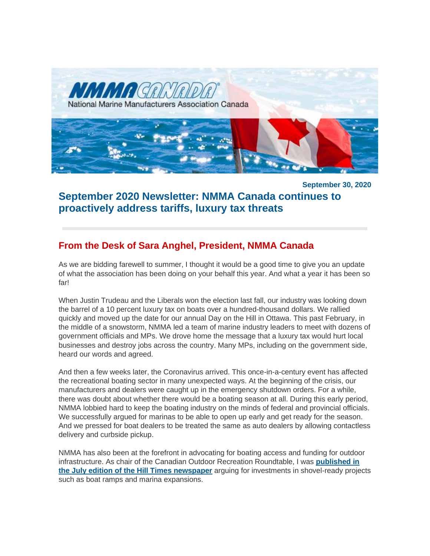*MANA* National Marine Manufacturers Association Canada

**September 30, 2020**

# **September 2020 Newsletter: NMMA Canada continues to proactively address tariffs, luxury tax threats**

## **From the Desk of Sara Anghel, President, NMMA Canada**

As we are bidding farewell to summer, I thought it would be a good time to give you an update of what the association has been doing on your behalf this year. And what a year it has been so far!

When Justin Trudeau and the Liberals won the election last fall, our industry was looking down the barrel of a 10 percent luxury tax on boats over a hundred-thousand dollars. We rallied quickly and moved up the date for our annual Day on the Hill in Ottawa. This past February, in the middle of a snowstorm, NMMA led a team of marine industry leaders to meet with dozens of government officials and MPs. We drove home the message that a luxury tax would hurt local businesses and destroy jobs across the country. Many MPs, including on the government side, heard our words and agreed.

And then a few weeks later, the Coronavirus arrived. This once-in-a-century event has affected the recreational boating sector in many unexpected ways. At the beginning of the crisis, our manufacturers and dealers were caught up in the emergency shutdown orders. For a while, there was doubt about whether there would be a boating season at all. During this early period, NMMA lobbied hard to keep the boating industry on the minds of federal and provincial officials. We successfully argued for marinas to be able to open up early and get ready for the season. And we pressed for boat dealers to be treated the same as auto dealers by allowing contactless delivery and curbside pickup.

NMMA has also been at the forefront in advocating for boating access and funding for outdoor infrastructure. As chair of the Canadian Outdoor Recreation Roundtable, I was **[published in](http://nmma.net/assets/cabinets/Cabinet486/CORR%20Recreation%20Infrastructure%20Op-ed%20-%20July%202020.pdf)  [the July edition of the Hill Times newspaper](http://nmma.net/assets/cabinets/Cabinet486/CORR%20Recreation%20Infrastructure%20Op-ed%20-%20July%202020.pdf)** arguing for investments in shovel-ready projects such as boat ramps and marina expansions.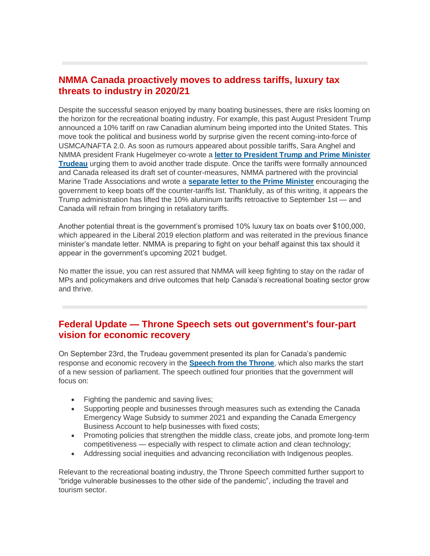### **NMMA Canada proactively moves to address tariffs, luxury tax threats to industry in 2020/21**

Despite the successful season enjoyed by many boating businesses, there are risks looming on the horizon for the recreational boating industry. For example, this past August President Trump announced a 10% tariff on raw Canadian aluminum being imported into the United States. This move took the political and business world by surprise given the recent coming-into-force of USMCA/NAFTA 2.0. As soon as rumours appeared about possible tariffs, Sara Anghel and NMMA president Frank Hugelmeyer co-wrote a **[letter to President Trump and Prime Minister](http://nmma.net/assets/cabinets/Cabinet486/Recreational_Boating_Industry_letter_regarding_Tariffs_to_President__Prr.pdf)  [Trudeau](http://nmma.net/assets/cabinets/Cabinet486/Recreational_Boating_Industry_letter_regarding_Tariffs_to_President__Prr.pdf)** urging them to avoid another trade dispute. Once the tariffs were formally announced and Canada released its draft set of counter-measures, NMMA partnered with the provincial Marine Trade Associations and wrote a **[separate letter to the Prime Minister](http://nmma.net/assets/cabinets/Cabinet486/PM%20Trudeau%20aluminum%20tariffs%20letter%20-%20August%2031%202020.pdf)** encouraging the government to keep boats off the counter-tariffs list. Thankfully, as of this writing, it appears the Trump administration has lifted the 10% aluminum tariffs retroactive to September 1st — and Canada will refrain from bringing in retaliatory tariffs.

Another potential threat is the government's promised 10% luxury tax on boats over \$100,000, which appeared in the Liberal 2019 election platform and was reiterated in the previous finance minister's mandate letter. NMMA is preparing to fight on your behalf against this tax should it appear in the government's upcoming 2021 budget.

No matter the issue, you can rest assured that NMMA will keep fighting to stay on the radar of MPs and policymakers and drive outcomes that help Canada's recreational boating sector grow and thrive.

#### **Federal Update — Throne Speech sets out government's four-part vision for economic recovery**

On September 23rd, the Trudeau government presented its plan for Canada's pandemic response and economic recovery in the **[Speech from the Throne](https://www.canada.ca/en/privy-council/campaigns/speech-throne/2020/stronger-resilient-canada.html)**, which also marks the start of a new session of parliament. The speech outlined four priorities that the government will focus on:

- Fighting the pandemic and saving lives;
- Supporting people and businesses through measures such as extending the Canada Emergency Wage Subsidy to summer 2021 and expanding the Canada Emergency Business Account to help businesses with fixed costs;
- Promoting policies that strengthen the middle class, create jobs, and promote long-term competitiveness — especially with respect to climate action and clean technology;
- Addressing social inequities and advancing reconciliation with Indigenous peoples.

Relevant to the recreational boating industry, the Throne Speech committed further support to "bridge vulnerable businesses to the other side of the pandemic", including the travel and tourism sector.